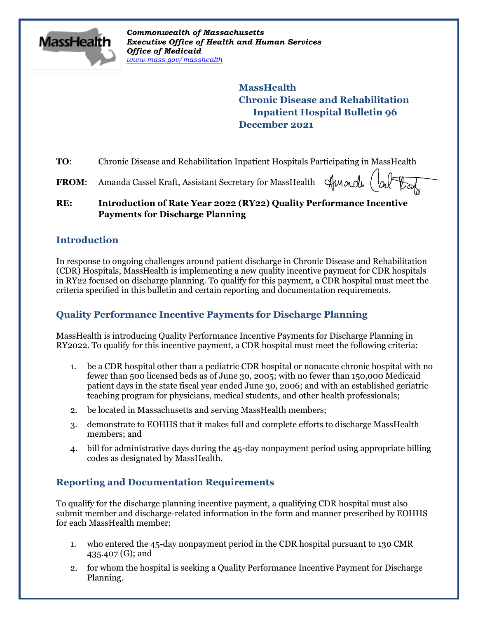

*Commonwealth of Massachusetts Executive Office of Health and Human Services Office of Medicaid [www.mass.gov/masshealth](http://www.mass.gov/masshealth)*

> **MassHealth Chronic Disease and Rehabilitation Inpatient Hospital Bulletin 96 December 2021**

**TO:** Chronic Disease and Rehabilitation Inpatient Hospitals Participating in MassHealth

Almade FROM: Amanda Cassel Kraft, Assistant Secretary for MassHealth

#### **RE: Introduction of Rate Year 2022 (RY22) Quality Performance Incentive Payments for Discharge Planning**

#### **Introduction**

In response to ongoing challenges around patient discharge in Chronic Disease and Rehabilitation (CDR) Hospitals, MassHealth is implementing a new quality incentive payment for CDR hospitals in RY22 focused on discharge planning. To qualify for this payment, a CDR hospital must meet the criteria specified in this bulletin and certain reporting and documentation requirements.

# **Quality Performance Incentive Payments for Discharge Planning**

MassHealth is introducing Quality Performance Incentive Payments for Discharge Planning in RY2022. To qualify for this incentive payment, a CDR hospital must meet the following criteria:

- 1. be a CDR hospital other than a pediatric CDR hospital or nonacute chronic hospital with no fewer than 500 licensed beds as of June 30, 2005; with no fewer than 150,000 Medicaid patient days in the state fiscal year ended June 30, 2006; and with an established geriatric teaching program for physicians, medical students, and other health professionals;
- 2. be located in Massachusetts and serving MassHealth members;
- 3. demonstrate to EOHHS that it makes full and complete efforts to discharge MassHealth members; and
- 4. bill for administrative days during the 45-day nonpayment period using appropriate billing codes as designated by MassHealth.

### **Reporting and Documentation Requirements**

To qualify for the discharge planning incentive payment, a qualifying CDR hospital must also submit member and discharge-related information in the form and manner prescribed by EOHHS for each MassHealth member:

- 1. who entered the 45-day nonpayment period in the CDR hospital pursuant to 130 CMR 435.407 (G); and
- 2. for whom the hospital is seeking a Quality Performance Incentive Payment for Discharge Planning.